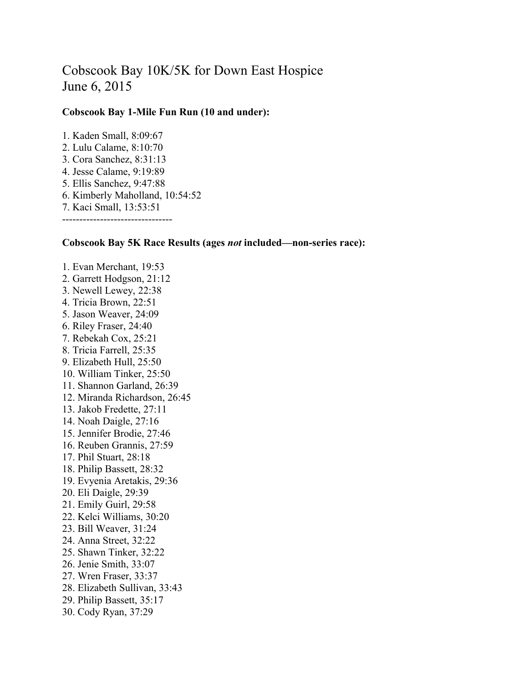## Cobscook Bay 10K/5K for Down East Hospice June 6, 2015

## **Cobscook Bay 1-Mile Fun Run (10 and under):**

1. Kaden Small, 8:09:67 2. Lulu Calame, 8:10:70 3. Cora Sanchez, 8:31:13 4. Jesse Calame, 9:19:89 5. Ellis Sanchez, 9:47:88 6. Kimberly Maholland, 10:54:52 7. Kaci Small, 13:53:51 --------------------------------

## **Cobscook Bay 5K Race Results (ages** *not* **included—non-series race):**

1. Evan Merchant, 19:53 2. Garrett Hodgson, 21:12 3. Newell Lewey, 22:38 4. Tricia Brown, 22:51 5. Jason Weaver, 24:09 6. Riley Fraser, 24:40 7. Rebekah Cox, 25:21 8. Tricia Farrell, 25:35 9. Elizabeth Hull, 25:50 10. William Tinker, 25:50 11. Shannon Garland, 26:39 12. Miranda Richardson, 26:45 13. Jakob Fredette, 27:11 14. Noah Daigle, 27:16 15. Jennifer Brodie, 27:46 16. Reuben Grannis, 27:59 17. Phil Stuart, 28:18 18. Philip Bassett, 28:32 19. Evyenia Aretakis, 29:36 20. Eli Daigle, 29:39 21. Emily Guirl, 29:58 22. Kelci Williams, 30:20 23. Bill Weaver, 31:24 24. Anna Street, 32:22 25. Shawn Tinker, 32:22 26. Jenie Smith, 33:07 27. Wren Fraser, 33:37 28. Elizabeth Sullivan, 33:43 29. Philip Bassett, 35:17 30. Cody Ryan, 37:29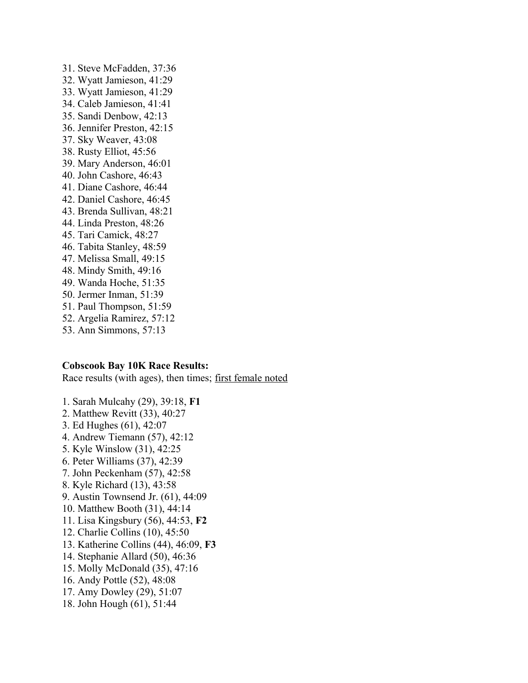31. Steve McFadden, 37:36 32. Wyatt Jamieson, 41:29 33. Wyatt Jamieson, 41:29 34. Caleb Jamieson, 41:41 35. Sandi Denbow, 42:13 36. Jennifer Preston, 42:15 37. Sky Weaver, 43:08 38. Rusty Elliot, 45:56 39. Mary Anderson, 46:01 40. John Cashore, 46:43 41. Diane Cashore, 46:44 42. Daniel Cashore, 46:45 43. Brenda Sullivan, 48:21 44. Linda Preston, 48:26 45. Tari Camick, 48:27 46. Tabita Stanley, 48:59 47. Melissa Small, 49:15 48. Mindy Smith, 49:16 49. Wanda Hoche, 51:35 50. Jermer Inman, 51:39 51. Paul Thompson, 51:59 52. Argelia Ramirez, 57:12 53. Ann Simmons, 57:13

## **Cobscook Bay 10K Race Results:**

Race results (with ages), then times; first female noted

- 1. Sarah Mulcahy (29), 39:18, **F1**
- 2. Matthew Revitt (33), 40:27
- 3. Ed Hughes (61), 42:07
- 4. Andrew Tiemann (57), 42:12
- 5. Kyle Winslow (31), 42:25
- 6. Peter Williams (37), 42:39
- 7. John Peckenham (57), 42:58
- 8. Kyle Richard (13), 43:58
- 9. Austin Townsend Jr. (61), 44:09
- 10. Matthew Booth (31), 44:14
- 11. Lisa Kingsbury (56), 44:53, **F2**
- 12. Charlie Collins (10), 45:50
- 13. Katherine Collins (44), 46:09, **F3**
- 14. Stephanie Allard (50), 46:36
- 15. Molly McDonald (35), 47:16
- 16. Andy Pottle (52), 48:08
- 17. Amy Dowley (29), 51:07
- 18. John Hough (61), 51:44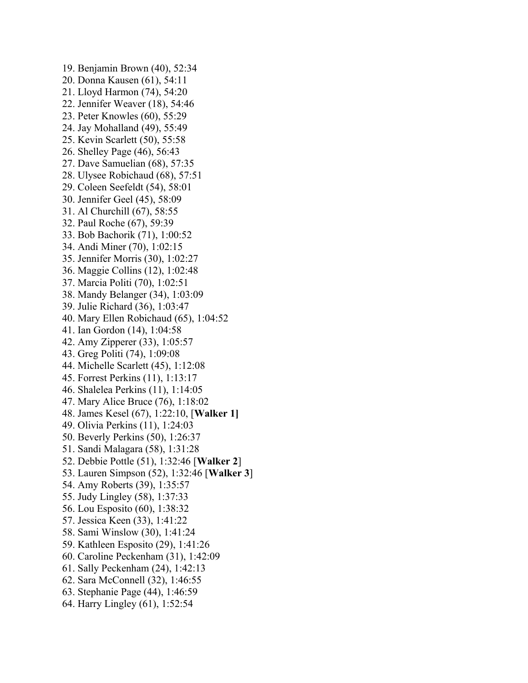19. Benjamin Brown (40), 52:34 20. Donna Kausen (61), 54:11 21. Lloyd Harmon (74), 54:20 22. Jennifer Weaver (18), 54:46 23. Peter Knowles (60), 55:29 24. Jay Mohalland (49), 55:49 25. Kevin Scarlett (50), 55:58 26. Shelley Page (46), 56:43 27. Dave Samuelian (68), 57:35 28. Ulysee Robichaud (68), 57:51 29. Coleen Seefeldt (54), 58:01 30. Jennifer Geel (45), 58:09 31. Al Churchill (67), 58:55 32. Paul Roche (67), 59:39 33. Bob Bachorik (71), 1:00:52 34. Andi Miner (70), 1:02:15 35. Jennifer Morris (30), 1:02:27 36. Maggie Collins (12), 1:02:48 37. Marcia Politi (70), 1:02:51 38. Mandy Belanger (34), 1:03:09 39. Julie Richard (36), 1:03:47 40. Mary Ellen Robichaud (65), 1:04:52 41. Ian Gordon (14), 1:04:58 42. Amy Zipperer (33), 1:05:57 43. Greg Politi (74), 1:09:08 44. Michelle Scarlett (45), 1:12:08 45. Forrest Perkins (11), 1:13:17 46. Shalelea Perkins (11), 1:14:05 47. Mary Alice Bruce (76), 1:18:02 48. James Kesel (67), 1:22:10, [**Walker 1]** 49. Olivia Perkins (11), 1:24:03 50. Beverly Perkins (50), 1:26:37 51. Sandi Malagara (58), 1:31:28 52. Debbie Pottle (51), 1:32:46 [**Walker 2**] 53. Lauren Simpson (52), 1:32:46 [**Walker 3**] 54. Amy Roberts (39), 1:35:57 55. Judy Lingley (58), 1:37:33 56. Lou Esposito (60), 1:38:32 57. Jessica Keen (33), 1:41:22 58. Sami Winslow (30), 1:41:24 59. Kathleen Esposito (29), 1:41:26 60. Caroline Peckenham (31), 1:42:09 61. Sally Peckenham (24), 1:42:13 62. Sara McConnell (32), 1:46:55 63. Stephanie Page (44), 1:46:59 64. Harry Lingley (61), 1:52:54